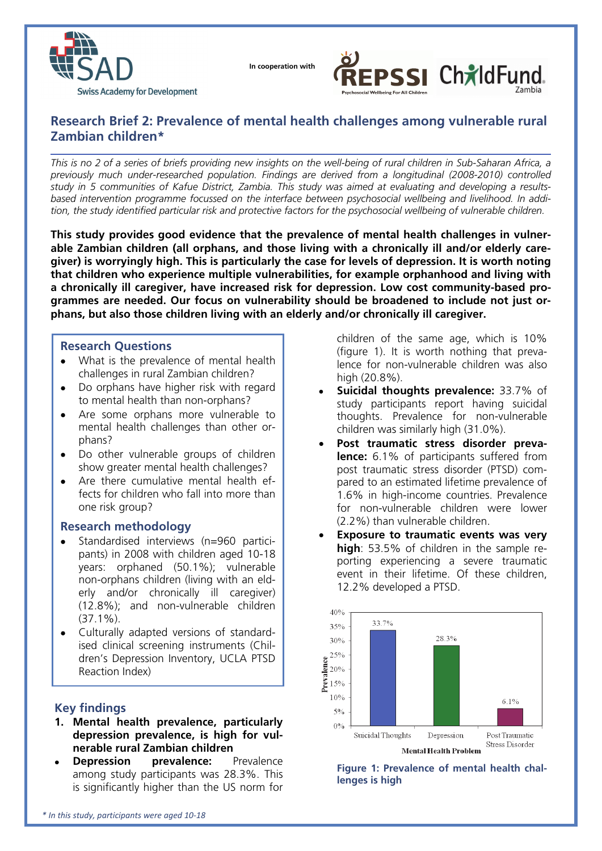

 **In cooperation with**



# **Research Brief 2: Prevalence of mental health challenges among vulnerable rural Zambian children\***

*This is no 2 of a series of briefs providing new insights on the well-being of rural children in Sub-Saharan Africa, a previously much under-researched population. Findings are derived from a longitudinal (2008-2010) controlled study in 5 communities of Kafue District, Zambia. This study was aimed at evaluating and developing a resultsbased intervention programme focussed on the interface between psychosocial wellbeing and livelihood. In addition, the study identified particular risk and protective factors for the psychosocial wellbeing of vulnerable children.* 

**This study provides good evidence that the prevalence of mental health challenges in vulnerable Zambian children (all orphans, and those living with a chronically ill and/or elderly caregiver) is worryingly high. This is particularly the case for levels of depression. It is worth noting that children who experience multiple vulnerabilities, for example orphanhood and living with a chronically ill caregiver, have increased risk for depression. Low cost community-based programmes are needed. Our focus on vulnerability should be broadened to include not just orphans, but also those children living with an elderly and/or chronically ill caregiver.** 

## **Research Questions**

- What is the prevalence of mental health challenges in rural Zambian children?
- Do orphans have higher risk with regard to mental health than non-orphans?
- Are some orphans more vulnerable to mental health challenges than other orphans?
- Do other vulnerable groups of children show greater mental health challenges?
- Are there cumulative mental health effects for children who fall into more than one risk group?

## **Research methodology**

- Standardised interviews (n=960 participants) in 2008 with children aged 10-18 years: orphaned (50.1%); vulnerable non-orphans children (living with an elderly and/or chronically ill caregiver) (12.8%); and non-vulnerable children  $(37.1\%)$ .
- Culturally adapted versions of standardised clinical screening instruments (Children's Depression Inventory, UCLA PTSD Reaction Index)

## **Key findings**

- **1. Mental health prevalence, particularly depression prevalence, is high for vulnerable rural Zambian children**
- **Depression prevalence:** Prevalence among study participants was 28.3%. This is significantly higher than the US norm for

children of the same age, which is 10% (figure 1). It is worth nothing that prevalence for non-vulnerable children was also high (20.8%).

- **Suicidal thoughts prevalence:** 33.7% of study participants report having suicidal thoughts. Prevalence for non-vulnerable children was similarly high (31.0%).
- **Post traumatic stress disorder prevalence:** 6.1% of participants suffered from post traumatic stress disorder (PTSD) compared to an estimated lifetime prevalence of 1.6% in high-income countries. Prevalence for non-vulnerable children were lower (2.2%) than vulnerable children.
- **Exposure to traumatic events was very high**: 53.5% of children in the sample reporting experiencing a severe traumatic event in their lifetime. Of these children, 12.2% developed a PTSD.



**Figure 1: Prevalence of mental health challenges is high**